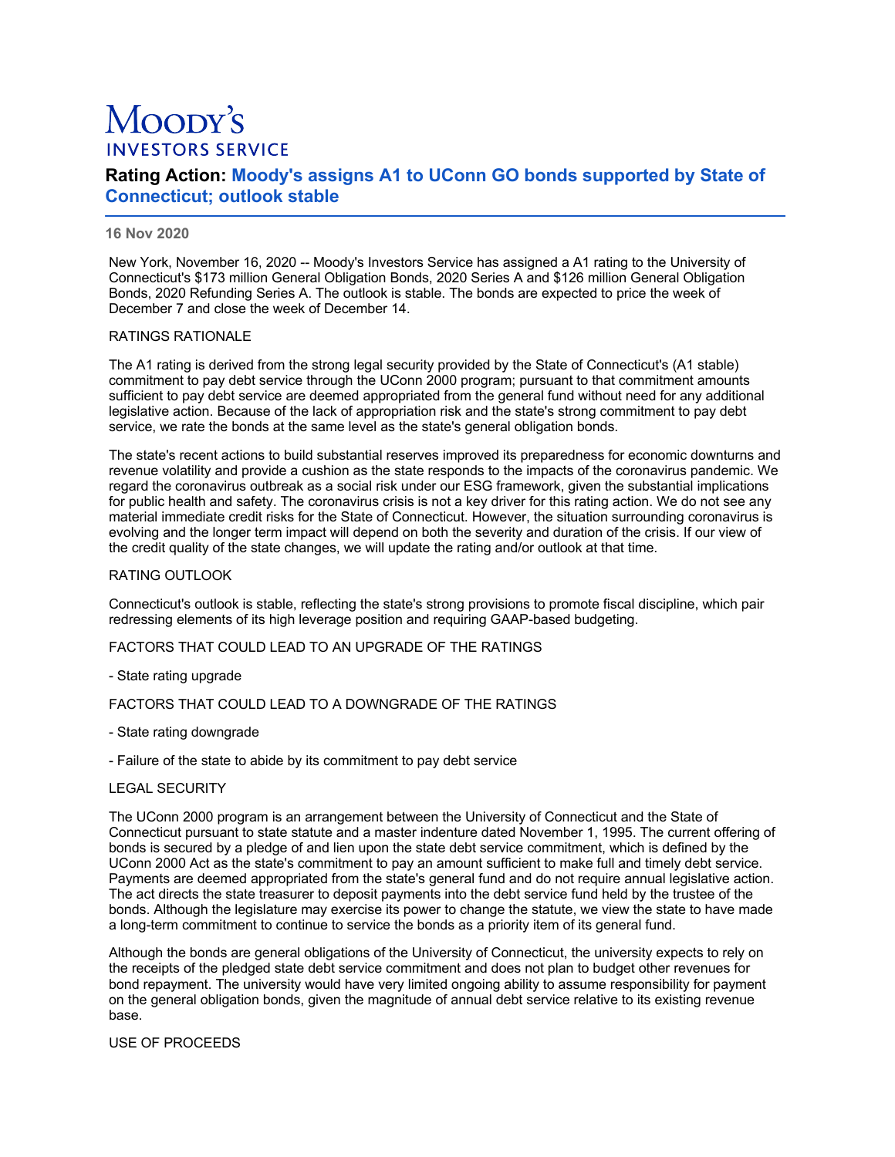# Moopy's **INVESTORS SERVICE**

# **Rating Action: Moody's assigns A1 to UConn GO bonds supported by State of Connecticut; outlook stable**

## **16 Nov 2020**

New York, November 16, 2020 -- Moody's Investors Service has assigned a A1 rating to the University of Connecticut's \$173 million General Obligation Bonds, 2020 Series A and \$126 million General Obligation Bonds, 2020 Refunding Series A. The outlook is stable. The bonds are expected to price the week of December 7 and close the week of December 14.

#### RATINGS RATIONALE

The A1 rating is derived from the strong legal security provided by the State of Connecticut's (A1 stable) commitment to pay debt service through the UConn 2000 program; pursuant to that commitment amounts sufficient to pay debt service are deemed appropriated from the general fund without need for any additional legislative action. Because of the lack of appropriation risk and the state's strong commitment to pay debt service, we rate the bonds at the same level as the state's general obligation bonds.

The state's recent actions to build substantial reserves improved its preparedness for economic downturns and revenue volatility and provide a cushion as the state responds to the impacts of the coronavirus pandemic. We regard the coronavirus outbreak as a social risk under our ESG framework, given the substantial implications for public health and safety. The coronavirus crisis is not a key driver for this rating action. We do not see any material immediate credit risks for the State of Connecticut. However, the situation surrounding coronavirus is evolving and the longer term impact will depend on both the severity and duration of the crisis. If our view of the credit quality of the state changes, we will update the rating and/or outlook at that time.

#### RATING OUTLOOK

Connecticut's outlook is stable, reflecting the state's strong provisions to promote fiscal discipline, which pair redressing elements of its high leverage position and requiring GAAP-based budgeting.

FACTORS THAT COULD LEAD TO AN UPGRADE OF THE RATINGS

- State rating upgrade

# FACTORS THAT COULD LEAD TO A DOWNGRADE OF THE RATINGS

- State rating downgrade
- Failure of the state to abide by its commitment to pay debt service

#### LEGAL SECURITY

The UConn 2000 program is an arrangement between the University of Connecticut and the State of Connecticut pursuant to state statute and a master indenture dated November 1, 1995. The current offering of bonds is secured by a pledge of and lien upon the state debt service commitment, which is defined by the UConn 2000 Act as the state's commitment to pay an amount sufficient to make full and timely debt service. Payments are deemed appropriated from the state's general fund and do not require annual legislative action. The act directs the state treasurer to deposit payments into the debt service fund held by the trustee of the bonds. Although the legislature may exercise its power to change the statute, we view the state to have made a long-term commitment to continue to service the bonds as a priority item of its general fund.

Although the bonds are general obligations of the University of Connecticut, the university expects to rely on the receipts of the pledged state debt service commitment and does not plan to budget other revenues for bond repayment. The university would have very limited ongoing ability to assume responsibility for payment on the general obligation bonds, given the magnitude of annual debt service relative to its existing revenue base.

USE OF PROCEEDS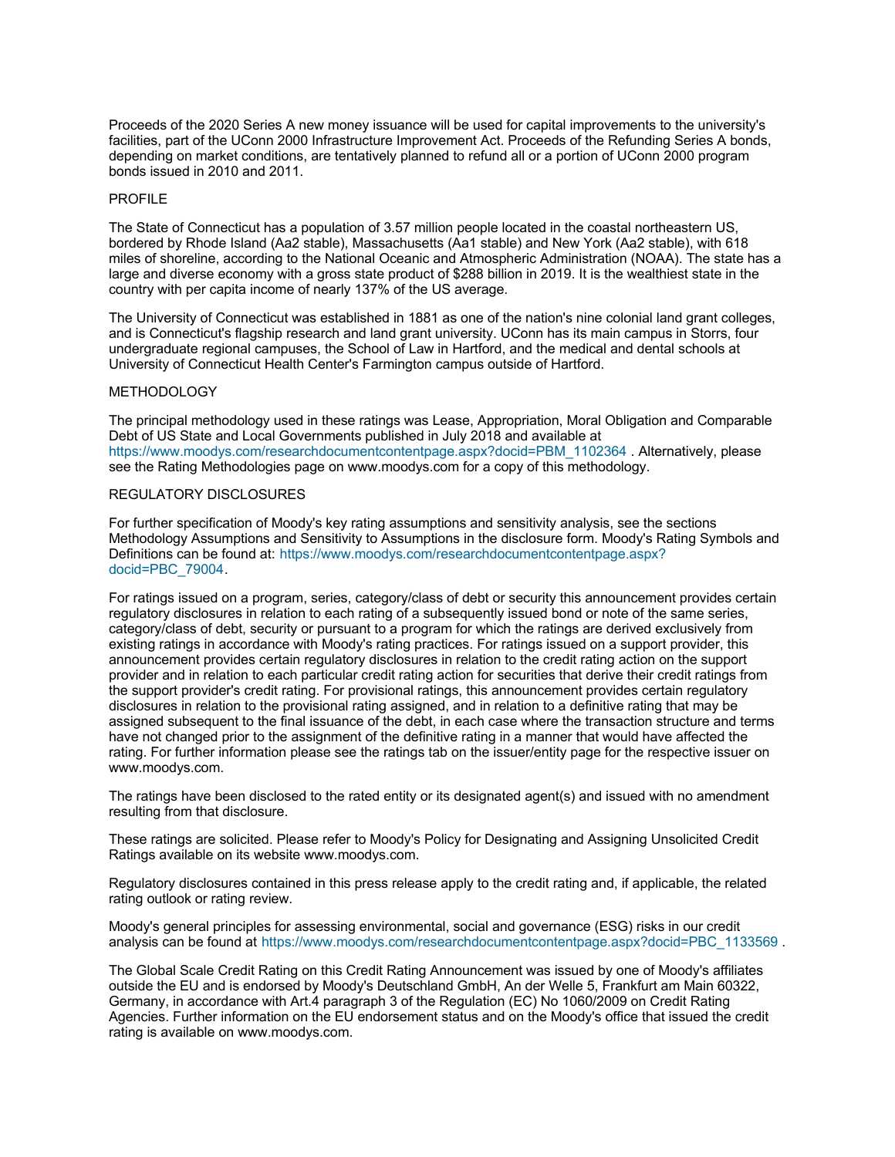Proceeds of the 2020 Series A new money issuance will be used for capital improvements to the university's facilities, part of the UConn 2000 Infrastructure Improvement Act. Proceeds of the Refunding Series A bonds, depending on market conditions, are tentatively planned to refund all or a portion of UConn 2000 program bonds issued in 2010 and 2011.

#### PROFILE

The State of Connecticut has a population of 3.57 million people located in the coastal northeastern US, bordered by Rhode Island (Aa2 stable), Massachusetts (Aa1 stable) and New York (Aa2 stable), with 618 miles of shoreline, according to the National Oceanic and Atmospheric Administration (NOAA). The state has a large and diverse economy with a gross state product of \$288 billion in 2019. It is the wealthiest state in the country with per capita income of nearly 137% of the US average.

The University of Connecticut was established in 1881 as one of the nation's nine colonial land grant colleges, and is Connecticut's flagship research and land grant university. UConn has its main campus in Storrs, four undergraduate regional campuses, the School of Law in Hartford, and the medical and dental schools at University of Connecticut Health Center's Farmington campus outside of Hartford.

#### METHODOLOGY

The principal methodology used in these ratings was Lease, Appropriation, Moral Obligation and Comparable Debt of US State and Local Governments published in July 2018 and available at [https://www.moodys.com/researchdocumentcontentpage.aspx?docid=PBM\\_1102364](https://www.moodys.com/researchdocumentcontentpage.aspx?docid=PBM_1102364) . Alternatively, please see the Rating Methodologies page on www.moodys.com for a copy of this methodology.

#### REGULATORY DISCLOSURES

For further specification of Moody's key rating assumptions and sensitivity analysis, see the sections Methodology Assumptions and Sensitivity to Assumptions in the disclosure form. Moody's Rating Symbols and [Definitions can be found at: https://www.moodys.com/researchdocumentcontentpage.aspx?](https://www.moodys.com/researchdocumentcontentpage.aspx?docid=PBC_79004) docid=PBC\_79004.

For ratings issued on a program, series, category/class of debt or security this announcement provides certain regulatory disclosures in relation to each rating of a subsequently issued bond or note of the same series, category/class of debt, security or pursuant to a program for which the ratings are derived exclusively from existing ratings in accordance with Moody's rating practices. For ratings issued on a support provider, this announcement provides certain regulatory disclosures in relation to the credit rating action on the support provider and in relation to each particular credit rating action for securities that derive their credit ratings from the support provider's credit rating. For provisional ratings, this announcement provides certain regulatory disclosures in relation to the provisional rating assigned, and in relation to a definitive rating that may be assigned subsequent to the final issuance of the debt, in each case where the transaction structure and terms have not changed prior to the assignment of the definitive rating in a manner that would have affected the rating. For further information please see the ratings tab on the issuer/entity page for the respective issuer on www.moodys.com.

The ratings have been disclosed to the rated entity or its designated agent(s) and issued with no amendment resulting from that disclosure.

These ratings are solicited. Please refer to Moody's Policy for Designating and Assigning Unsolicited Credit Ratings available on its website www.moodys.com.

Regulatory disclosures contained in this press release apply to the credit rating and, if applicable, the related rating outlook or rating review.

Moody's general principles for assessing environmental, social and governance (ESG) risks in our credit analysis can be found at [https://www.moodys.com/researchdocumentcontentpage.aspx?docid=PBC\\_1133569](https://www.moodys.com/researchdocumentcontentpage.aspx?docid=PBC_1133569)

The Global Scale Credit Rating on this Credit Rating Announcement was issued by one of Moody's affiliates outside the EU and is endorsed by Moody's Deutschland GmbH, An der Welle 5, Frankfurt am Main 60322, Germany, in accordance with Art.4 paragraph 3 of the Regulation (EC) No 1060/2009 on Credit Rating Agencies. Further information on the EU endorsement status and on the Moody's office that issued the credit rating is available on www.moodys.com.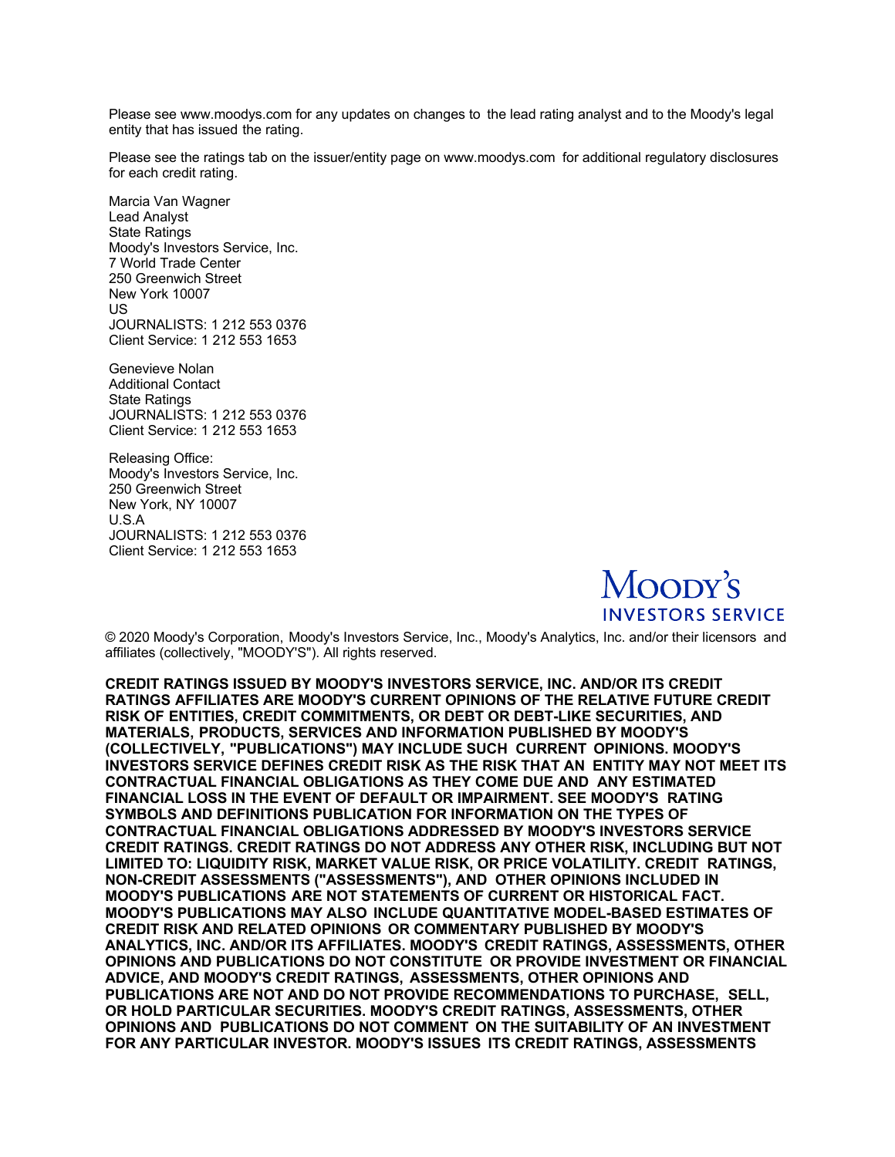Please see www.moodys.com for any updates on changes to the lead rating analyst and to the Moody's legal entity that has issued the rating.

Please see the ratings tab on the issuer/entity page on www.moodys.com for additional regulatory disclosures for each credit rating.

Marcia Van Wagner Lead Analyst State Ratings Moody's Investors Service, Inc. 7 World Trade Center 250 Greenwich Street New York 10007 US JOURNALISTS: 1 212 553 0376 Client Service: 1 212 553 1653

Genevieve Nolan Additional Contact State Ratings JOURNALISTS: 1 212 553 0376 Client Service: 1 212 553 1653

Releasing Office: Moody's Investors Service, Inc. 250 Greenwich Street New York, NY 10007 U.S.A JOURNALISTS: 1 212 553 0376 Client Service: 1 212 553 1653



© 2020 Moody's Corporation, Moody's Investors Service, Inc., Moody's Analytics, Inc. and/or their licensors and affiliates (collectively, "MOODY'S"). All rights reserved.

**CREDIT RATINGS ISSUED BY MOODY'S INVESTORS SERVICE, INC. AND/OR ITS CREDIT RATINGS AFFILIATES ARE MOODY'S CURRENT OPINIONS OF THE RELATIVE FUTURE CREDIT RISK OF ENTITIES, CREDIT COMMITMENTS, OR DEBT OR DEBT-LIKE SECURITIES, AND MATERIALS, PRODUCTS, SERVICES AND INFORMATION PUBLISHED BY MOODY'S (COLLECTIVELY, "PUBLICATIONS") MAY INCLUDE SUCH CURRENT OPINIONS. MOODY'S INVESTORS SERVICE DEFINES CREDIT RISK AS THE RISK THAT AN ENTITY MAY NOT MEET ITS CONTRACTUAL FINANCIAL OBLIGATIONS AS THEY COME DUE AND ANY ESTIMATED FINANCIAL LOSS IN THE EVENT OF DEFAULT OR IMPAIRMENT. SEE MOODY'S RATING SYMBOLS AND DEFINITIONS PUBLICATION FOR INFORMATION ON THE TYPES OF CONTRACTUAL FINANCIAL OBLIGATIONS ADDRESSED BY MOODY'S INVESTORS SERVICE CREDIT RATINGS. CREDIT RATINGS DO NOT ADDRESS ANY OTHER RISK, INCLUDING BUT NOT LIMITED TO: LIQUIDITY RISK, MARKET VALUE RISK, OR PRICE VOLATILITY. CREDIT RATINGS, NON-CREDIT ASSESSMENTS ("ASSESSMENTS"), AND OTHER OPINIONS INCLUDED IN MOODY'S PUBLICATIONS ARE NOT STATEMENTS OF CURRENT OR HISTORICAL FACT. MOODY'S PUBLICATIONS MAY ALSO INCLUDE QUANTITATIVE MODEL-BASED ESTIMATES OF CREDIT RISK AND RELATED OPINIONS OR COMMENTARY PUBLISHED BY MOODY'S ANALYTICS, INC. AND/OR ITS AFFILIATES. MOODY'S CREDIT RATINGS, ASSESSMENTS, OTHER OPINIONS AND PUBLICATIONS DO NOT CONSTITUTE OR PROVIDE INVESTMENT OR FINANCIAL ADVICE, AND MOODY'S CREDIT RATINGS, ASSESSMENTS, OTHER OPINIONS AND PUBLICATIONS ARE NOT AND DO NOT PROVIDE RECOMMENDATIONS TO PURCHASE, SELL, OR HOLD PARTICULAR SECURITIES. MOODY'S CREDIT RATINGS, ASSESSMENTS, OTHER OPINIONS AND PUBLICATIONS DO NOT COMMENT ON THE SUITABILITY OF AN INVESTMENT FOR ANY PARTICULAR INVESTOR. MOODY'S ISSUES ITS CREDIT RATINGS, ASSESSMENTS**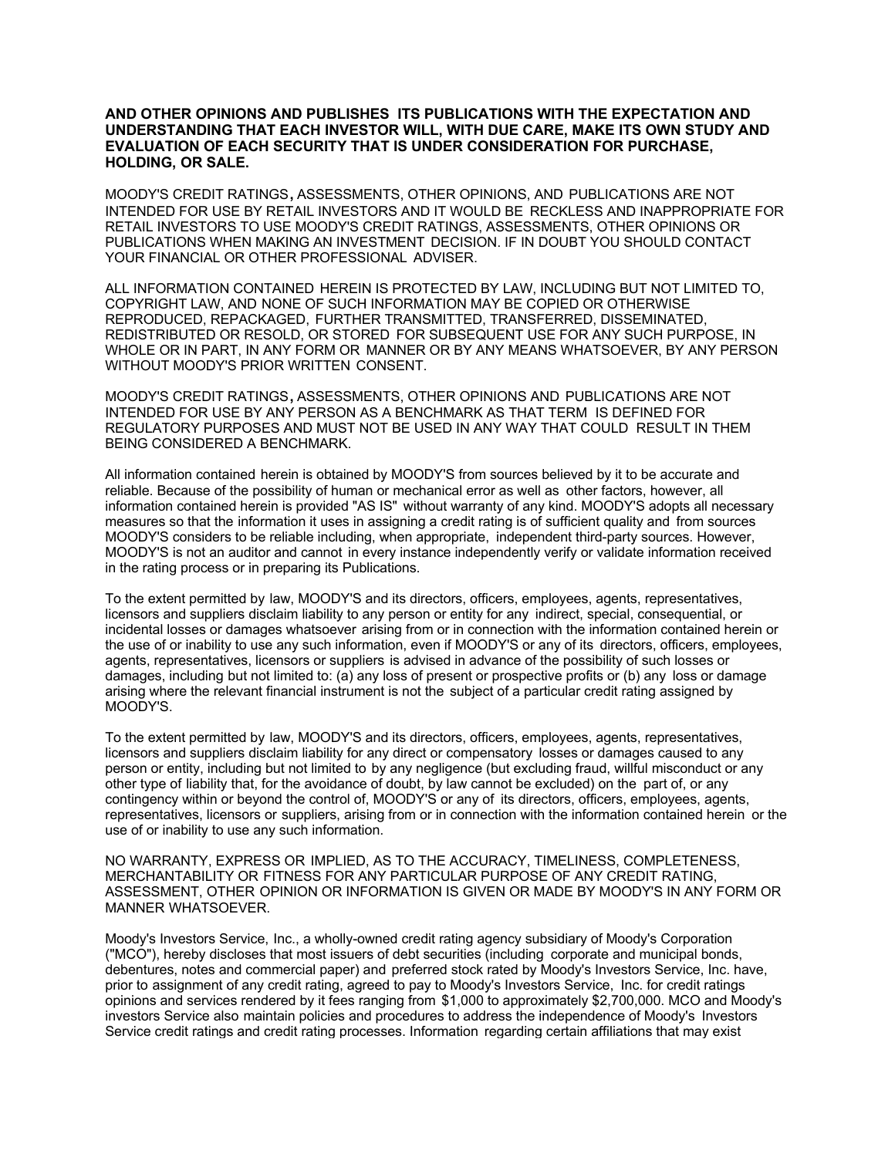### **AND OTHER OPINIONS AND PUBLISHES ITS PUBLICATIONS WITH THE EXPECTATION AND UNDERSTANDING THAT EACH INVESTOR WILL, WITH DUE CARE, MAKE ITS OWN STUDY AND EVALUATION OF EACH SECURITY THAT IS UNDER CONSIDERATION FOR PURCHASE, HOLDING, OR SALE.**

MOODY'S CREDIT RATINGS**,** ASSESSMENTS, OTHER OPINIONS, AND PUBLICATIONS ARE NOT INTENDED FOR USE BY RETAIL INVESTORS AND IT WOULD BE RECKLESS AND INAPPROPRIATE FOR RETAIL INVESTORS TO USE MOODY'S CREDIT RATINGS, ASSESSMENTS, OTHER OPINIONS OR PUBLICATIONS WHEN MAKING AN INVESTMENT DECISION. IF IN DOUBT YOU SHOULD CONTACT YOUR FINANCIAL OR OTHER PROFESSIONAL ADVISER.

ALL INFORMATION CONTAINED HEREIN IS PROTECTED BY LAW, INCLUDING BUT NOT LIMITED TO, COPYRIGHT LAW, AND NONE OF SUCH INFORMATION MAY BE COPIED OR OTHERWISE REPRODUCED, REPACKAGED, FURTHER TRANSMITTED, TRANSFERRED, DISSEMINATED, REDISTRIBUTED OR RESOLD, OR STORED FOR SUBSEQUENT USE FOR ANY SUCH PURPOSE, IN WHOLE OR IN PART, IN ANY FORM OR MANNER OR BY ANY MEANS WHATSOEVER, BY ANY PERSON WITHOUT MOODY'S PRIOR WRITTEN CONSENT.

MOODY'S CREDIT RATINGS**,** ASSESSMENTS, OTHER OPINIONS AND PUBLICATIONS ARE NOT INTENDED FOR USE BY ANY PERSON AS A BENCHMARK AS THAT TERM IS DEFINED FOR REGULATORY PURPOSES AND MUST NOT BE USED IN ANY WAY THAT COULD RESULT IN THEM BEING CONSIDERED A BENCHMARK.

All information contained herein is obtained by MOODY'S from sources believed by it to be accurate and reliable. Because of the possibility of human or mechanical error as well as other factors, however, all information contained herein is provided "AS IS" without warranty of any kind. MOODY'S adopts all necessary measures so that the information it uses in assigning a credit rating is of sufficient quality and from sources MOODY'S considers to be reliable including, when appropriate, independent third-party sources. However, MOODY'S is not an auditor and cannot in every instance independently verify or validate information received in the rating process or in preparing its Publications.

To the extent permitted by law, MOODY'S and its directors, officers, employees, agents, representatives, licensors and suppliers disclaim liability to any person or entity for any indirect, special, consequential, or incidental losses or damages whatsoever arising from or in connection with the information contained herein or the use of or inability to use any such information, even if MOODY'S or any of its directors, officers, employees, agents, representatives, licensors or suppliers is advised in advance of the possibility of such losses or damages, including but not limited to: (a) any loss of present or prospective profits or (b) any loss or damage arising where the relevant financial instrument is not the subject of a particular credit rating assigned by MOODY'S.

To the extent permitted by law, MOODY'S and its directors, officers, employees, agents, representatives, licensors and suppliers disclaim liability for any direct or compensatory losses or damages caused to any person or entity, including but not limited to by any negligence (but excluding fraud, willful misconduct or any other type of liability that, for the avoidance of doubt, by law cannot be excluded) on the part of, or any contingency within or beyond the control of, MOODY'S or any of its directors, officers, employees, agents, representatives, licensors or suppliers, arising from or in connection with the information contained herein or the use of or inability to use any such information.

NO WARRANTY, EXPRESS OR IMPLIED, AS TO THE ACCURACY, TIMELINESS, COMPLETENESS, MERCHANTABILITY OR FITNESS FOR ANY PARTICULAR PURPOSE OF ANY CREDIT RATING, ASSESSMENT, OTHER OPINION OR INFORMATION IS GIVEN OR MADE BY MOODY'S IN ANY FORM OR MANNER WHATSOEVER.

Moody's Investors Service, Inc., a wholly-owned credit rating agency subsidiary of Moody's Corporation ("MCO"), hereby discloses that most issuers of debt securities (including corporate and municipal bonds, debentures, notes and commercial paper) and preferred stock rated by Moody's Investors Service, Inc. have, prior to assignment of any credit rating, agreed to pay to Moody's Investors Service, Inc. for credit ratings opinions and services rendered by it fees ranging from \$1,000 to approximately \$2,700,000. MCO and Moody's investors Service also maintain policies and procedures to address the independence of Moody's Investors Service credit ratings and credit rating processes. Information regarding certain affiliations that may exist